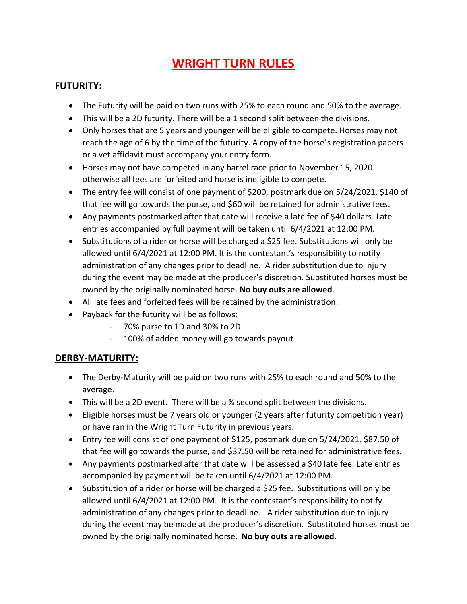# **WRIGHT TURN RULES**

#### **FUTURITY:**

- The Futurity will be paid on two runs with 25% to each round and 50% to the average.
- This will be a 2D futurity. There will be a 1 second split between the divisions.
- Only horses that are 5 years and younger will be eligible to compete. Horses may not reach the age of 6 by the time of the futurity. A copy of the horse's registration papers or a vet affidavit must accompany your entry form.
- Horses may not have competed in any barrel race prior to November 15, 2020 otherwise all fees are forfeited and horse is ineligible to compete.
- The entry fee will consist of one payment of \$200, postmark due on 5/24/2021. \$140 of that fee will go towards the purse, and \$60 will be retained for administrative fees.
- Any payments postmarked after that date will receive a late fee of \$40 dollars. Late entries accompanied by full payment will be taken until 6/4/2021 at 12:00 PM.
- Substitutions of a rider or horse will be charged a \$25 fee. Substitutions will only be allowed until 6/4/2021 at 12:00 PM. It is the contestant's responsibility to notify administration of any changes prior to deadline. A rider substitution due to injury during the event may be made at the producer's discretion. Substituted horses must be owned by the originally nominated horse. **No buy outs are allowed**.
- All late fees and forfeited fees will be retained by the administration.
- Payback for the futurity will be as follows:
	- 70% purse to 1D and 30% to 2D
	- 100% of added money will go towards payout

#### **DERBY-MATURITY:**

- The Derby-Maturity will be paid on two runs with 25% to each round and 50% to the average.
- This will be a 2D event. There will be a ¾ second split between the divisions.
- Eligible horses must be 7 years old or younger (2 years after futurity competition year) or have ran in the Wright Turn Futurity in previous years.
- Entry fee will consist of one payment of \$125, postmark due on 5/24/2021. \$87.50 of that fee will go towards the purse, and \$37.50 will be retained for administrative fees.
- Any payments postmarked after that date will be assessed a \$40 late fee. Late entries accompanied by payment will be taken until 6/4/2021 at 12:00 PM.
- Substitution of a rider or horse will be charged a \$25 fee. Substitutions will only be allowed until 6/4/2021 at 12:00 PM. It is the contestant's responsibility to notify administration of any changes prior to deadline. A rider substitution due to injury during the event may be made at the producer's discretion. Substituted horses must be owned by the originally nominated horse. **No buy outs are allowed**.